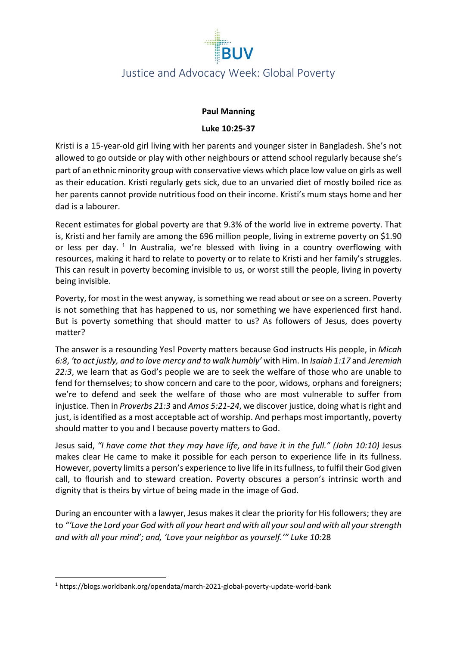

# Justice and Advocacy Week: Global Poverty

#### **Paul Manning**

#### **Luke 10:25-37**

Kristi is a 15-year-old girl living with her parents and younger sister in Bangladesh. She's not allowed to go outside or play with other neighbours or attend school regularly because she's part of an ethnic minority group with conservative views which place low value on girls as well as their education. Kristi regularly gets sick, due to an unvaried diet of mostly boiled rice as her parents cannot provide nutritious food on their income. Kristi's mum stays home and her dad is a labourer.

Recent estimates for global poverty are that 9.3% of the world live in extreme poverty. That is, Kristi and her family are among the 696 million people, living in extreme poverty on \$1.90 or less per day. <sup>[1](#page-0-0)</sup> In Australia, we're blessed with living in a country overflowing with resources, making it hard to relate to poverty or to relate to Kristi and her family's struggles. This can result in poverty becoming invisible to us, or worst still the people, living in poverty being invisible.

Poverty, for most in the west anyway, is something we read about or see on a screen. Poverty is not something that has happened to us, nor something we have experienced first hand. But is poverty something that should matter to us? As followers of Jesus, does poverty matter?

The answer is a resounding Yes! Poverty matters because God instructs His people, in *Micah 6:8*, *'to act justly, and to love mercy and to walk humbly'* with Him. In *Isaiah 1:17* and *Jeremiah 22:3*, we learn that as God's people we are to seek the welfare of those who are unable to fend for themselves; to show concern and care to the poor, widows, orphans and foreigners; we're to defend and seek the welfare of those who are most vulnerable to suffer from injustice. Then in *Proverbs 21:3* and *Amos 5:21-24*, we discover justice, doing what is right and just, is identified as a most acceptable act of worship. And perhaps most importantly, poverty should matter to you and I because poverty matters to God.

Jesus said, *"I have come that they may have life, and have it in the full." (John 10:10)* Jesus makes clear He came to make it possible for each person to experience life in its fullness. However, poverty limits a person's experience to live life in its fullness, to fulfil their God given call, to flourish and to steward creation. Poverty obscures a person's intrinsic worth and dignity that is theirs by virtue of being made in the image of God.

During an encounter with a lawyer, Jesus makes it clear the priority for His followers; they are to *"'Love the Lord your God with all your heart and with all your soul and with all your strength and with all your mind'; and, 'Love your neighbor as yourself.'" Luke 10:*28

<span id="page-0-0"></span><sup>1</sup> https://blogs.worldbank.org/opendata/march-2021-global-poverty-update-world-bank